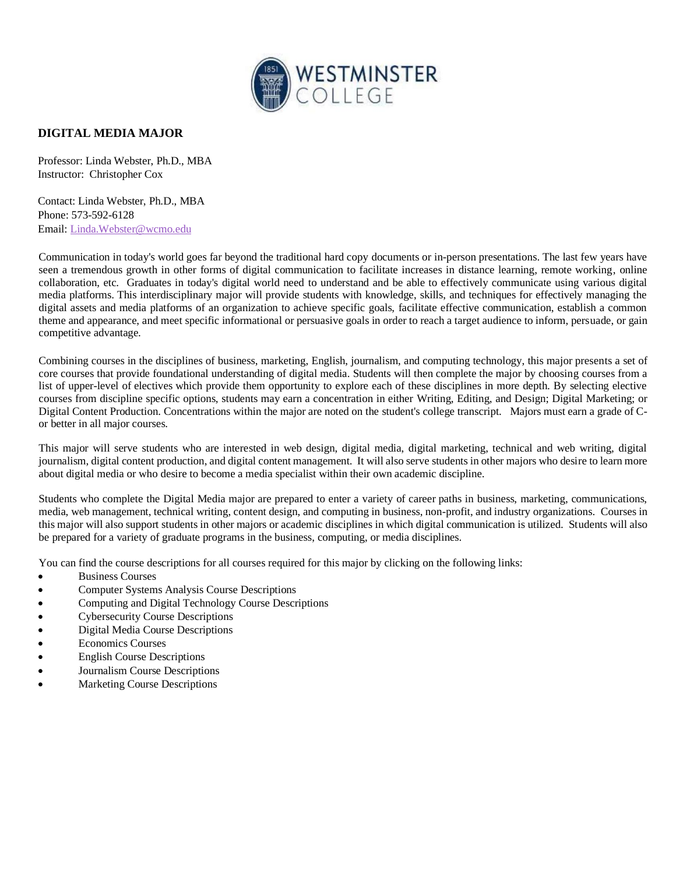

## **DIGITAL MEDIA MAJOR**

Professor: Linda Webster, Ph.D., MBA Instructor: Christopher Cox

Contact: Linda Webster, Ph.D., MBA Phone: 573-592-6128 Email: Linda.Webster@wcmo.edu

Communication in today's world goes far beyond the traditional hard copy documents or in-person presentations. The last few years have seen a tremendous growth in other forms of digital communication to facilitate increases in distance learning, remote working, online collaboration, etc. Graduates in today's digital world need to understand and be able to effectively communicate using various digital media platforms. This interdisciplinary major will provide students with knowledge, skills, and techniques for effectively managing the digital assets and media platforms of an organization to achieve specific goals, facilitate effective communication, establish a common theme and appearance, and meet specific informational or persuasive goals in order to reach a target audience to inform, persuade, or gain competitive advantage.

Combining courses in the disciplines of business, marketing, English, journalism, and computing technology, this major presents a set of core courses that provide foundational understanding of digital media. Students will then complete the major by choosing courses from a list of upper-level of electives which provide them opportunity to explore each of these disciplines in more depth. By selecting elective courses from discipline specific options, students may earn a concentration in either Writing, Editing, and Design; Digital Marketing; or Digital Content Production. Concentrations within the major are noted on the student's college transcript. Majors must earn a grade of Cor better in all major courses.

This major will serve students who are interested in web design, digital media, digital marketing, technical and web writing, digital journalism, digital content production, and digital content management. It will also serve students in other majors who desire to learn more about digital media or who desire to become a media specialist within their own academic discipline.

Students who complete the Digital Media major are prepared to enter a variety of career paths in business, marketing, communications, media, web management, technical writing, content design, and computing in business, non-profit, and industry organizations. Courses in this major will also support students in other majors or academic disciplines in which digital communication is utilized. Students will also be prepared for a variety of graduate programs in the business, computing, or media disciplines.

You can find the course descriptions for all courses required for this major by clicking on the following links:

- **Business Courses**
- Computer Systems Analysis Course Descriptions
- Computing and Digital Technology Course Descriptions
- Cybersecurity Course Descriptions
- Digital Media Course Descriptions
- Economics Courses
- English Course Descriptions
- Journalism Course Descriptions
- **Marketing Course Descriptions**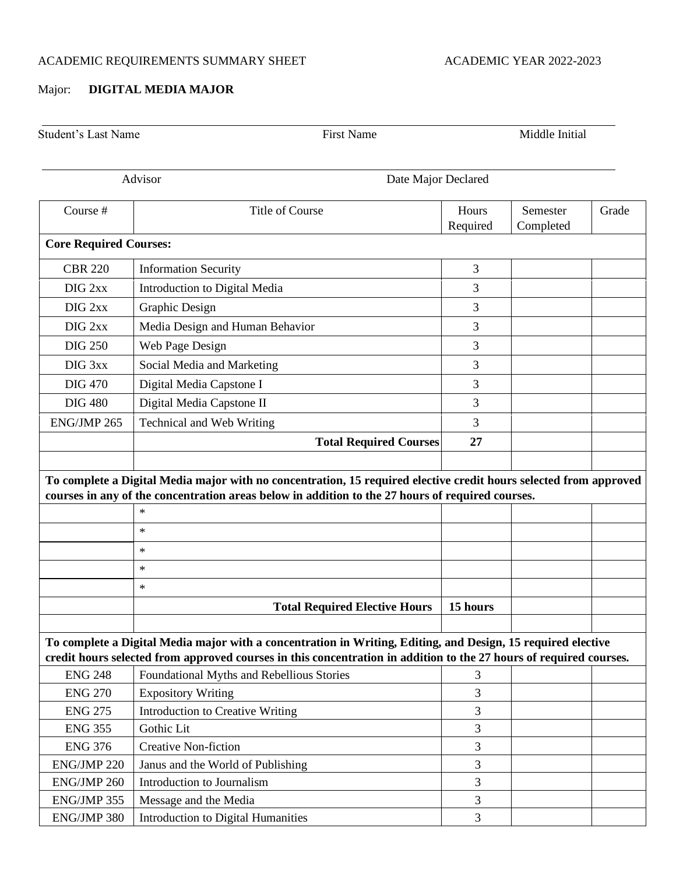## ACADEMIC REQUIREMENTS SUMMARY SHEET ACADEMIC YEAR 2022-2023

## Major: **DIGITAL MEDIA MAJOR**

| <b>Student's Last Name</b>    | <b>First Name</b>                                                                                                                                                                                                                  | Middle Initial      |                       |       |  |  |
|-------------------------------|------------------------------------------------------------------------------------------------------------------------------------------------------------------------------------------------------------------------------------|---------------------|-----------------------|-------|--|--|
|                               | Advisor                                                                                                                                                                                                                            | Date Major Declared |                       |       |  |  |
| Course #                      | <b>Title of Course</b>                                                                                                                                                                                                             | Hours<br>Required   | Semester<br>Completed | Grade |  |  |
| <b>Core Required Courses:</b> |                                                                                                                                                                                                                                    |                     |                       |       |  |  |
| <b>CBR 220</b>                | <b>Information Security</b>                                                                                                                                                                                                        | 3                   |                       |       |  |  |
| DIG <sub>2xx</sub>            | Introduction to Digital Media                                                                                                                                                                                                      | 3                   |                       |       |  |  |
| DIG <sub>2xx</sub>            | Graphic Design                                                                                                                                                                                                                     | 3                   |                       |       |  |  |
| DIG <sub>2xx</sub>            | Media Design and Human Behavior                                                                                                                                                                                                    | 3                   |                       |       |  |  |
| <b>DIG 250</b>                | Web Page Design                                                                                                                                                                                                                    | 3                   |                       |       |  |  |
| DIG <sub>3xx</sub>            | Social Media and Marketing                                                                                                                                                                                                         | 3                   |                       |       |  |  |
| <b>DIG 470</b>                | Digital Media Capstone I                                                                                                                                                                                                           | 3                   |                       |       |  |  |
| <b>DIG 480</b>                | Digital Media Capstone II                                                                                                                                                                                                          | 3                   |                       |       |  |  |
| ENG/JMP 265                   | Technical and Web Writing                                                                                                                                                                                                          | 3                   |                       |       |  |  |
|                               | <b>Total Required Courses</b>                                                                                                                                                                                                      | 27                  |                       |       |  |  |
|                               | $\ast$<br>$\star$<br>$\ast$<br>$\ast$                                                                                                                                                                                              |                     |                       |       |  |  |
|                               | $\ast$                                                                                                                                                                                                                             |                     |                       |       |  |  |
|                               | <b>Total Required Elective Hours</b>                                                                                                                                                                                               | 15 hours            |                       |       |  |  |
|                               |                                                                                                                                                                                                                                    |                     |                       |       |  |  |
|                               | To complete a Digital Media major with a concentration in Writing, Editing, and Design, 15 required elective<br>credit hours selected from approved courses in this concentration in addition to the 27 hours of required courses. |                     |                       |       |  |  |
| <b>ENG 248</b>                | Foundational Myths and Rebellious Stories                                                                                                                                                                                          | 3                   |                       |       |  |  |
| <b>ENG 270</b>                | <b>Expository Writing</b>                                                                                                                                                                                                          | 3                   |                       |       |  |  |
| <b>ENG 275</b>                | Introduction to Creative Writing                                                                                                                                                                                                   | 3                   |                       |       |  |  |
| <b>ENG 355</b>                | Gothic Lit                                                                                                                                                                                                                         | 3                   |                       |       |  |  |
| <b>ENG 376</b>                | <b>Creative Non-fiction</b>                                                                                                                                                                                                        | 3                   |                       |       |  |  |
| ENG/JMP 220                   | Janus and the World of Publishing                                                                                                                                                                                                  | 3                   |                       |       |  |  |
| ENG/JMP 260                   | Introduction to Journalism                                                                                                                                                                                                         | 3                   |                       |       |  |  |
| ENG/JMP 355                   | Message and the Media                                                                                                                                                                                                              | 3                   |                       |       |  |  |
| ENG/JMP 380                   |                                                                                                                                                                                                                                    | 3                   |                       |       |  |  |